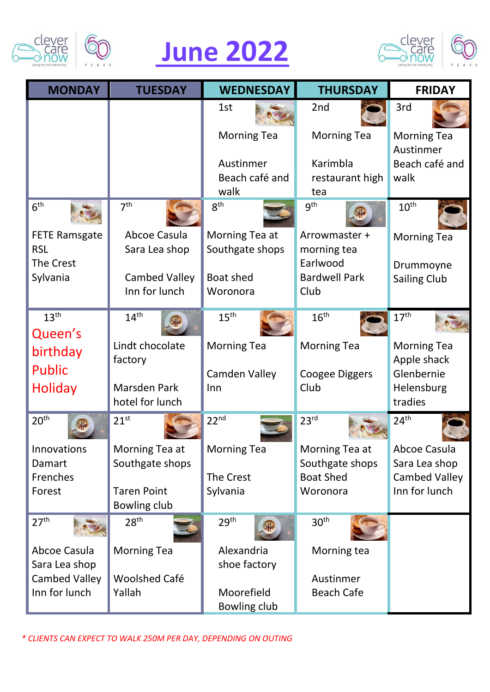

## **June 2022**



| <b>MONDAY</b>                      | <b>TUESDAY</b>                 | <b>WEDNESDAY</b>                  | <b>THURSDAY</b>                     | <b>FRIDAY</b>                         |
|------------------------------------|--------------------------------|-----------------------------------|-------------------------------------|---------------------------------------|
|                                    |                                | 1st                               | 2nd                                 | 3rd                                   |
|                                    |                                | <b>Morning Tea</b>                | <b>Morning Tea</b>                  | <b>Morning Tea</b><br>Austinmer       |
|                                    |                                | Austinmer                         | Karimbla                            | Beach café and                        |
|                                    |                                | Beach café and<br>walk            | restaurant high<br>tea              | walk                                  |
| 6 <sup>th</sup>                    | 7 <sup>th</sup>                | 8 <sup>th</sup>                   | 9 <sup>th</sup>                     | 10 <sup>th</sup>                      |
| <b>FETE Ramsgate</b><br><b>RSL</b> | Abcoe Casula<br>Sara Lea shop  | Morning Tea at<br>Southgate shops | Arrowmaster +<br>morning tea        | <b>Morning Tea</b>                    |
| The Crest<br>Sylvania              | <b>Cambed Valley</b>           | Boat shed                         | Earlwood<br><b>Bardwell Park</b>    | Drummoyne                             |
|                                    | Inn for lunch                  | Woronora                          | Club                                | <b>Sailing Club</b>                   |
| 13 <sup>th</sup>                   | 14 <sup>th</sup>               | 15 <sup>th</sup>                  | 16 <sup>th</sup>                    | $17^{\text{th}}$                      |
| Queen's                            |                                |                                   |                                     |                                       |
| birthday                           | Lindt chocolate                | <b>Morning Tea</b>                | <b>Morning Tea</b>                  | <b>Morning Tea</b>                    |
| <b>Public</b>                      | factory                        | Camden Valley                     | Coogee Diggers                      | Apple shack<br>Glenbernie             |
| Holiday                            | Marsden Park                   | Inn                               | Club                                | Helensburg                            |
|                                    | hotel for lunch                |                                   |                                     | tradies                               |
| 20 <sup>th</sup>                   | $21^{st}$                      | 22 <sup>nd</sup>                  | 23 <sup>rd</sup>                    | 24 <sup>th</sup>                      |
| Innovations                        | Morning Tea at                 | Morning Tea                       | Morning Tea at                      | Abcoe Casula                          |
| Damart<br>Frenches                 | Southgate shops                | The Crest                         | Southgate shops<br><b>Boat Shed</b> | Sara Lea shop<br><b>Cambed Valley</b> |
| Forest                             | <b>Taren Point</b>             | Sylvania                          | Woronora                            | Inn for lunch                         |
|                                    | Bowling club                   |                                   |                                     |                                       |
| 27 <sup>th</sup>                   | 28 <sup>th</sup>               | 29 <sup>th</sup>                  | 30 <sup>th</sup>                    |                                       |
| Abcoe Casula                       | <b>Morning Tea</b>             | Alexandria                        | Morning tea                         |                                       |
| Sara Lea shop                      |                                | shoe factory                      |                                     |                                       |
| Cambed Valley<br>Inn for lunch     | <b>Woolshed Café</b><br>Yallah | Moorefield                        | Austinmer<br><b>Beach Cafe</b>      |                                       |
|                                    |                                | Bowling club                      |                                     |                                       |

*\* CLIENTS CAN EXPECT TO WALK 250M PER DAY, DEPENDING ON OUTING*